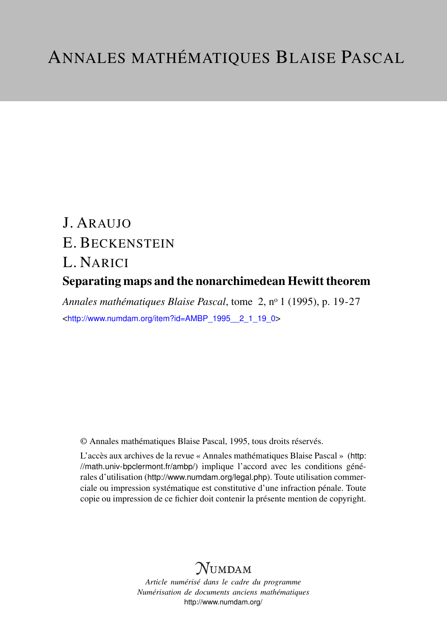# J. ARAUJO E. BECKENSTEIN L. NARICI Separating maps and the nonarchimedean Hewitt theorem

*Annales mathématiques Blaise Pascal*, tome 2, n<sup>o</sup> 1 (1995), p. 19-27 <[http://www.numdam.org/item?id=AMBP\\_1995\\_\\_2\\_1\\_19\\_0](http://www.numdam.org/item?id=AMBP_1995__2_1_19_0)>

© Annales mathématiques Blaise Pascal, 1995, tous droits réservés.

L'accès aux archives de la revue « Annales mathématiques Blaise Pascal » ([http:](http://math.univ-bpclermont.fr/ambp/) [//math.univ-bpclermont.fr/ambp/](http://math.univ-bpclermont.fr/ambp/)) implique l'accord avec les conditions générales d'utilisation (<http://www.numdam.org/legal.php>). Toute utilisation commerciale ou impression systématique est constitutive d'une infraction pénale. Toute copie ou impression de ce fichier doit contenir la présente mention de copyright.

# **NUMDAM**

*Article numérisé dans le cadre du programme Numérisation de documents anciens mathématiques* <http://www.numdam.org/>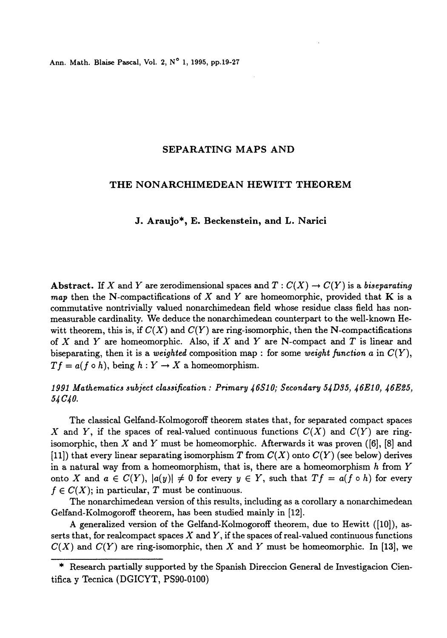Ann. Math. Blaise Pascal, Vol. 2, N° 1, 1995, pp.19-27

## SEPARATING MAPS AND

## THE NONARCHIMEDEAN HEWITT THEOREM

#### J. Araujo\*, E. Beckenstein, and L. Narici

Abstract. If X and Y are zerodimensional spaces and  $T: C(X) \to C(Y)$  is a biseparating map then the N-compactifications of X and Y are homeomorphic, provided that K is a commutative nontrivially valued nonarchimedean field whose residue class field has nonmeasurable cardinality. We deduce the nonarchimedean counterpart to the well-known Hewitt theorem, this is, if  $C(X)$  and  $C(Y)$  are ring-isomorphic, then the N-compactifications of X and Y are homeomorphic. Also, if X and Y are N-compact and T is linear and biseparating, then it is a weighted composition map : for some weight function a in  $C(Y)$ ,  $T f = a(f \circ h)$ , being  $h: Y \to X$  a homeomorphism.

# 1991 Mathematics subject classification : Primary  $46S10$ ; Secondary 5 $4D35$ ,  $46E10$ ,  $46E25$ ,  $54~C40.$

The classical Gelfand-Kolmogoroff theorem states that, for separated compact spaces X and Y, if the spaces of real-valued continuous functions  $C(X)$  and  $C(Y)$  are ringisomorphic, then X and Y must be homeomorphic. Afterwards it was proven  $([6], [8]$  and (11)) that every linear separating isomorphism T from  $C(X)$  onto  $C(Y)$  (see below) derives in a natural way from a homeomorphism, that is, there are a homeomorphism  $h$  from  $Y$ onto X and  $a \in C(Y)$ ,  $|a(y)| \neq 0$  for every  $y \in Y$ , such that  $Tf = a(f \circ h)$  for every  $f \in C(X)$ ; in particular, T must be continuous.

The nonarchimedean version of this results, including as a corollary a nonarchimedean Gelfand-Kolmogoroff theorem, has been studied mainly in [12].

A generalized version of the Gelfand-Kolmogoroff theorem, due to Hewitt ([10]), asserts that, for realcompact spaces  $X$  and  $Y$ , if the spaces of real-valued continuous functions  $C(X)$  and  $C(Y)$  are ring-isomorphic, then X and Y must be homeomorphic. In [13], we

Research partially supported by the Spanish Direccion General de Investigacion Cientifica y Tecnica (DGICYT, PS90-0100)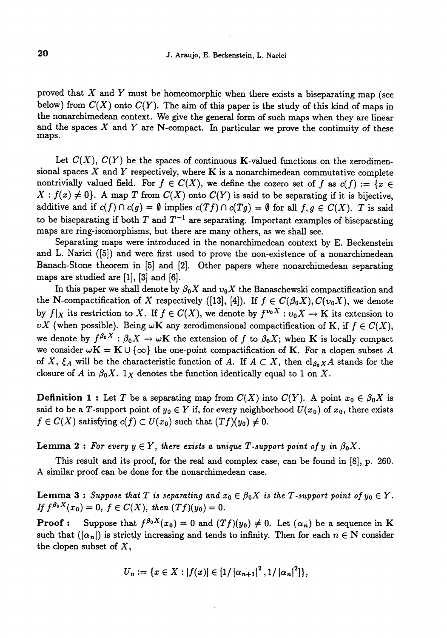proved that  $X$  and  $Y$  must be homeomorphic when there exists a biseparating map (see below) from  $C(X)$  onto  $C(Y)$ . The aim of this paper is the study of this kind of maps in the nonarchimedean context. We give the general form of such maps when they are linear and the spaces  $X$  and  $Y$  are N-compact. In particular we prove the continuity of these maps.

Let  $C(X)$ ,  $C(Y)$  be the spaces of continuous K-valued functions on the zerodimensional spaces  $X$  and  $Y$  respectively, where  $K$  is a nonarchimedean commutative complete nontrivially valued field. For  $f \in C(X)$ , we define the cozero set of f as  $c(f) := \{x \in$  $X : f(x) \neq 0$ . A map T from  $C(X)$  onto  $C(Y)$  is said to be separating if it is bijective, additive and if  $c(f) \cap c(g) = \emptyset$  implies  $c(Tf) \cap c(Tg) = \emptyset$  for all  $f, g \in C(X)$ . T is said to be biseparating if both  $T$  and  $T^{-1}$  are separating. Important examples of biseparating maps are ring-isomorphisms, but there are many others, as we shall see.

Separating maps were introduced in the nonarchimedean context by E. Beckenstein and L. Narici ([5]) and were first used to prove the non-existence of a nonarchimedean Banach-Stone theorem in [5] and [2]. Other papers where nonarchimedean separating maps are studied are  $[1]$ ,  $[3]$  and  $[6]$ .

In this paper we shall denote by  $\beta_0 X$  and  $v_0 X$  the Banaschewski compactification and the N-compactification of X respectively ([13], [4]). If  $f \in C(\beta_0X), C(v_0X)$ , we denote by  $f|_X$  its restriction to X. If  $f \in C(X)$ , we denote by  $f^{v_0 X}: v_0 X \to K$  its extension to  $vX$  (when possible). Being  $\omega K$  any zerodimensional compactification of K, if  $f \in C(X)$ , we denote by  $f^{\beta_0 X} : \beta_0 X \to \omega \mathbf{K}$  the extension of f to  $\beta_0 X$ ; when K is locally compact<br>we consider  $\omega \mathbf{K} = \mathbf{K} \cup \{\infty\}$  the one-point compactification of K. For a clopen subset A of X,  $\xi_A$  will be the characteristic function of A. If  $A \subset X$ , then  $cl_{\beta_0X}A$  stands for the closure of A in  $\beta_0 X$ .  $1_X$  denotes the function identically equal to 1 on X.

**Definition 1 :** Let T be a separating map from  $C(X)$  into  $C(Y)$ . A point  $x_0 \in \beta_0 X$  is said to be a T-support point of  $y_0 \in Y$  if, for every neighborhood  $U(x_0)$  of  $x_0$ , there exists  $f \in C(X)$  satisfying  $c(f) \subset U(x_0)$  such that  $(Tf)(y_0) \neq 0$ .

**Lemma 2**: For every  $y \in Y$ , there exists a unique T-support point of y in  $\beta_0 X$ .

This result and its proof, for the real and complex case, can be found in [8], p. 260. A similar proof can be done for the nonarchimedean case.

**Lemma 3 :** Suppose that T is separating and  $x_0 \in \beta_0 X$  is the T-support point of  $y_0 \in Y$ . If  $f^{\beta_0 X}(x_0) = 0$ ,  $f \in C(X)$ , then  $(Tf)(y_0) = 0$ .

**Proof :** Suppose that  $f^{\beta_0 X}(x_0) = 0$  and  $(Tf)(y_0) \neq 0$ . Let  $(\alpha_n)$  be a sequence in K such that  $(|\alpha_n|)$  is strictly increasing and tends to infinity. Then for each  $n \in \mathbb{N}$  consider the clopen subset of  $X$ ,

$$
U_n := \{x \in X : |f(x)| \in [1/|\alpha_{n+1}|^2, 1/|\alpha_n|^2]\},\
$$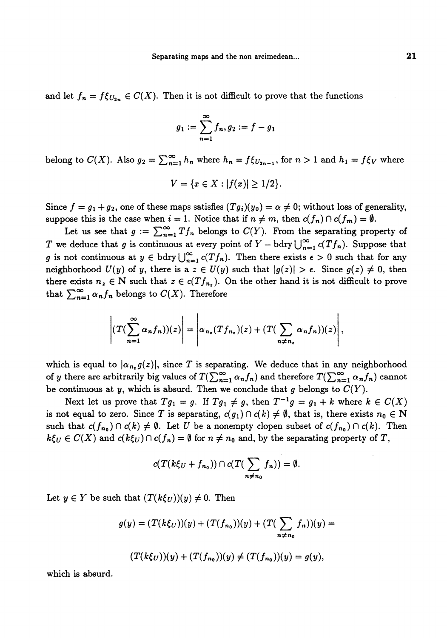and let  $f_n = f \xi_{U_{2n}} \in C(X)$ . Then it is not difficult to prove that the functions

$$
g_1 := \sum_{n=1}^{\infty} f_n, g_2 := f - g_1
$$

belong to  $C(X)$ . Also  $g_2 = \sum_{n=1}^{\infty} h_n$  where  $h_n = f \xi_{U_{2n-1}}$ , for  $n > 1$  and  $h_1 = f \xi_V$  where

$$
V = \{x \in X : |f(x)| \ge 1/2\}.
$$

Since  $f = g_1 + g_2$ , one of these maps satisfies  $(Tg_i)(y_0) = \alpha \neq 0$ ; without loss of generality, suppose this is the case when  $i = 1$ . Notice that if  $n \neq m$ , then  $c(f_n) \cap c(f_m) = \emptyset$ .

Let us see that  $g := \sum_{n=1}^{\infty} Tf_n$  belongs to  $C(Y)$ . From the separating property of T we deduce that g is continuous at every point of  $Y - bdry \bigcup_{n=1}^{\infty} c(Tf_n)$ . Suppose that g is not continuous at  $y \in b$  dry  $\bigcup_{n=1}^{\infty} c(T f_n)$ . Then there exists  $\epsilon > 0$  such that for any neighborhood  $U(y)$  of y, there is a  $z \in U(y)$  such that  $|g(z)| > \epsilon$ . Since  $g(z) \neq 0$ , then there exists  $n_z \in \mathbb{N}$  such that  $z \in c(Tf_{n_z})$ . On the other hand it is not difficult to prove that  $\sum_{n=1}^{\infty} \alpha_n f_n$  belongs to  $C(X)$ . Therefore

$$
\left|\left(T(\sum_{n=1}^{\infty}\alpha_nf_n)\right)(z)\right|=\left|\alpha_{n_z}(Tf_{n_z})(z)+(T(\sum_{n\neq n_z}\alpha_nf_n))(z)\right|,
$$

which is equal to  $|\alpha_{n_x} g(z)|$ , since T is separating. We deduce that in any neighborhood of y there are arbitrarily big values of  $T(\sum_{n=1}^{\infty} \alpha_n f_n)$  and therefore  $T(\sum_{n=1}^{\infty} \alpha_n f_n)$  cannot be continuous at y, which is absurd. Then we conclude that g belongs to  $C(Y)$ .

Next let us prove that  $Tg_1 = g$ . If  $Tg_1 \neq g$ , then  $T^{-1}g = g_1 + k$  where  $k \in C(X)$ is not equal to zero. Since T is separating,  $c(g_1) \cap c(k) \neq \emptyset$ , that is, there exists  $n_0 \in \mathbb{N}$ such that  $c(f_{n_0}) \cap c(k) \neq \emptyset$ . Let U be a nonempty clopen subset of  $c(f_{n_0}) \cap c(k)$ . Then  $k\xi_0 \in C(X)$  and  $c(k\xi_0) \cap c(f_n) = \emptyset$  for  $n \neq n_0$  and, by the separating property of T,

$$
c(T(k\xi_U+f_{n_0}))\cap c(T(\sum_{n\neq n_0}f_n))=\emptyset.
$$

Let  $y \in Y$  be such that  $(T(k\xi_{U}))(y) \neq 0$ . Then

$$
g(y) = (T(k\xi_U))(y) + (T(f_{n_0}))(y) + (T(\sum_{n \neq n_0} f_n))(y) =
$$

$$
(T(k\xi_U))(y) + (T(f_{n_0}))(y) \neq (T(f_{n_0}))(y) = g(y),
$$

which is absurd.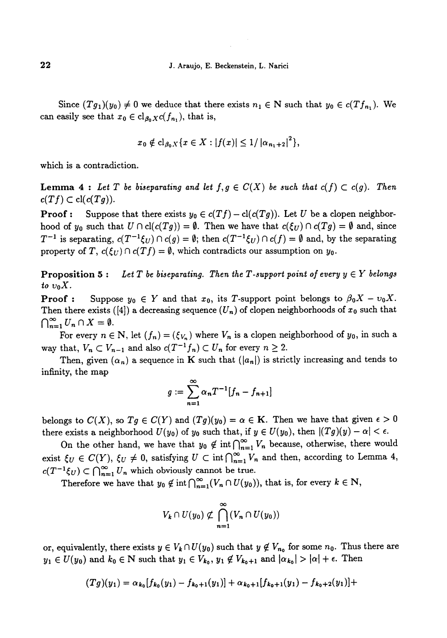Since  $(Tg_1)(y_0) \neq 0$  we deduce that there exists  $n_1 \in \mathbb{N}$  such that  $y_0 \in c(Tf_{n_1})$ . We can easily see that  $x_0 \in \text{cl}_{\beta_0 X}c(f_{n_1}),$  that is,

$$
x_0 \notin cl_{\beta_0 X} \{x \in X : |f(x)| \leq 1/|\alpha_{n_1+2}|^2\},\
$$

which is a contradiction.

**Lemma 4 :** Let T be biseparating and let  $f, g \in C(X)$  be such that  $c(f) \subset c(g)$ . Then  $c(T f) \subset cl(c(T g)).$ 

**Proof :** Suppose that there exists  $y_0 \in c(Tf) - cl(c(Tg))$ . Let U be a clopen neighborhood of  $y_0$  such that  $U \cap cl(c(Tg)) = \emptyset$ . Then we have that  $c(\xi_U) \cap c(Tg) = \emptyset$  and, since  $T^{-1}$  is separating,  $c(T^{-1}\xi_U) \cap c(g) = \emptyset$ ; then  $c(T^{-1}\xi_U) \cap c(f) = \emptyset$  and, by the separating property of T,  $c(\xi_U) \cap c(Tf) = \emptyset$ , which contradicts our assumption on y<sub>0</sub>.

**Proposition 5:** Let T be biseparating. Then the T-support point of every  $y \in Y$  belongs to  $v_0X$ .

**Proof :** Suppose  $y_0 \in Y$  and that  $x_0$ , its T-support point belongs to  $\beta_0 X - v_0 X$ . Then there exists ([4]) a decreasing sequence  $(U_n)$  of clopen neighborhoods of  $x_0$  such that  $\bigcap_{n=1}^{\infty} U_n \cap X = \emptyset.$ 

For every  $n \in \mathbb{N}$ , let  $(f_n) = (\xi_{V_n})$  where  $V_n$  is a clopen neighborhood of  $y_0$ , in such a way that,  $V_n \subset V_{n-1}$  and also  $c(T^{-1}f_n) \subset U_n$  for every  $n \geq 2$ .

Then, given  $(\alpha_n)$  a sequence in K such that  $(|a_n|)$  is strictly increasing and tends to infinity, the map

$$
g:=\sum_{n=1}^{\infty}\alpha_nT^{-1}[f_n-f_{n+1}]
$$

belongs to  $C(X)$ , so  $Tg \in C(Y)$  and  $(Tg)(y_0) = \alpha \in \mathbf{K}$ . Then we have that given  $\epsilon > 0$ there exists a neighborhood  $U(y_0)$  of  $y_0$  such that, if  $y \in U(y_0)$ , then  $|(T_g)(y) - \alpha| < \epsilon$ .

On the other hand, we have that  $y_0 \notin \text{int} \bigcap_{n=1}^{\infty} V_n$  because, otherwise, there would exist  $\xi_U \in C(Y)$ ,  $\xi_U \neq 0$ , satisfying  $U \subset \text{int} \bigcap_{n=1}^{\infty} V_n$  and then, according to Lemma 4,  $c(T^{-1}\xi_U) \subset \bigcap_{n=1}^{\infty} U_n$  which obviously cannot be true.

Therefore we have that  $y_0 \notin \text{int} \bigcap_{n=1}^{\infty} (V_n \cap U(y_0)),$  that is, for every  $k \in \mathbb{N}$ ,

$$
V_k \cap U(y_0) \not\subset \bigcap_{n=1}^{\infty} (V_n \cap U(y_0))
$$

or, equivalently, there exists  $y \in V_k \cap U(y_0)$  such that  $y \notin V_{n_0}$  for some  $n_0$ . Thus there are  $y_1 \in U(y_0)$  and  $k_0 \in \mathbb{N}$  such that  $y_1 \in V_{k_0}, y_1 \notin V_{k_0+1}$  and  $|\alpha_{k_0}| > |\alpha| + \epsilon$ . Then

$$
(Tg)(y_1) = \alpha_{k_0}[f_{k_0}(y_1) - f_{k_0+1}(y_1)] + \alpha_{k_0+1}[f_{k_0+1}(y_1) - f_{k_0+2}(y_1)] +
$$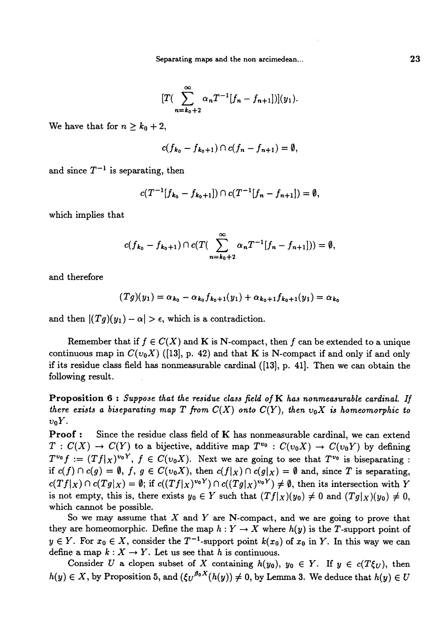Separating maps and the non arcimedean...

$$
[T(\sum_{n=k_0+2}^{\infty}\alpha_nT^{-1}[f_n-f_{n+1}]](y_1).
$$

We have that for  $n \geq k_0 + 2$ ,

$$
c(f_{k_0}-f_{k_0+1})\cap c(f_n-f_{n+1})=\emptyset
$$

and since  $T^{-1}$  is separating, then

$$
c(T^{-1}[f_{k_0}-f_{k_0+1}])\cap c(T^{-1}[f_n-f_{n+1}])=\emptyset,
$$

which implies that

$$
c(f_{k_0}-f_{k_0+1})\cap c(T(\sum_{n=k_0+2}^{\infty}\alpha_nT^{-1}[f_n-f_{n+1}]))=\emptyset,
$$

and therefore

$$
(Tg)(y_1) = \alpha_{k_0} - \alpha_{k_0} f_{k_0+1}(y_1) + \alpha_{k_0+1} f_{k_0+1}(y_1) = \alpha_{k_0}
$$

and then  $|(Tg)(y_1) - \alpha| > \epsilon$ , which is a contradiction.

Remember that if  $f \in C(X)$  and K is N-compact, then f can be extended to a unique continuous map in  $C(v_0X)$  ([13], p. 42) and that K is N-compact if and only if and only if its residue class field has nonmeasurable cardinal ([13], p. 41]. Then we can obtain the following result.

Proposition  $6:$  Suppose that the residue class field of  $K$  has nonmeasurable cardinal. If there exists a biseparating map T from  $C(X)$  onto  $C(Y)$ , then  $v_0X$  is homeomorphic to  $v_0Y$ .

Proof : Since the residue class field of K has nonmeasurable cardinal, we can extend  $T: C(X) \to C(Y)$  to a bijective, additive map  $T^{v_0}: C(v_0X) \to C(v_0Y)$  by defining  $T^{v_0}f := (Tf|_X)^{v_0Y}, f \in C(v_0X)$ . Next we are going to see that  $T^{v_0}$  is biseparating : if  $c(f) \cap c(g) = \emptyset$ ,  $f, g \in C(v_0X)$ , then  $c(f | X) \cap c(g | X) = \emptyset$  and, since T is separating,  $c(Tf|_X) \cap c(Tg|_X) = \emptyset$ ; if  $c((Tf|_X)^{v_0Y}) \cap c((Tg|_X)^{v_0Y}) \neq \emptyset$ , then its intersection with Y is not empty, this is, there exists  $y_0 \in Y$  such that  $(Tf|x)(y_0) \neq 0$  and  $(Tg|x)(y_0) \neq 0$ , which cannot be possible.

So we may assume that  $X$  and  $Y$  are N-compact, and we are going to prove that they are homeomorphic. Define the map  $h: Y \to X$  where  $h(y)$  is the T-support point of  $y \in Y$ . For  $x_0 \in X$ , consider the  $T^{-1}$ -support point  $k(x_0)$  of  $x_0$  in Y. In this way we can define a map  $k : X \to Y$ . Let us see that h is continuous.

Consider U a clopen subset of X containing  $h(y_0)$ ,  $y_0 \in Y$ . If  $y \in c(T\xi_U)$ , then  $h(y) \in X$ , by Proposition 5, and  $({\xi \overline{U}}^{\beta_0 X}(h(y)) \neq 0$ , by Lemma 3. We deduce that  $h(y) \in U$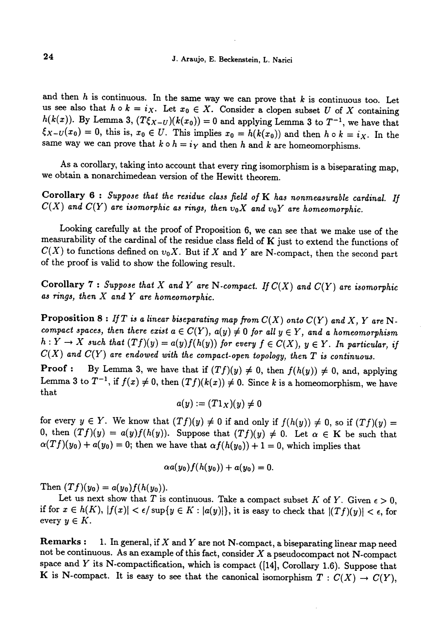and then h is continuous. In the same way we can prove that k is continuous too. Let<br>us see also that  $h \circ k = i_X$ . Let  $x_0 \in X$ . Consider a clopen subset U of X containing<br> $h(k(x))$ . By Lemma 3,  $(T\xi_{X-U})(k(x_0)) = 0$  and applying

As a corollary, taking into account that every ring isomorphism is a biseparating map, we obtain a nonarchimedean version of the Hewitt theorem.

Corollary  $6:$  Suppose that the residue class field of  $K$  has nonmeasurable cardinal. If  $C(X)$  and  $C(Y)$  are isomorphic as rings, then  $v_0X$  and  $v_0Y$  are homeomorphic.

Looking carefully at the proof of Proposition 6, we can see that we make use of the measurability of the cardinal of the residue class field of K just to extend the functions of  $C(X)$  to functions defined on  $v_0X$ . But if X and Y are N-compact, then the second part of the proof is valid to show the following result.

Corollary 7 : Suppose that X and Y are N-compact. If  $C(X)$  and  $C(Y)$  are isomorphic as rings, then X and Y are homeomorphic.

**Proposition 8 :** If T is a linear biseparating map from  $C(X)$  onto  $C(Y)$  and X, Y are N-compact spaces, then there exist  $a \in C(Y)$ ,  $a(y) \neq 0$  for all  $y \in Y$ , and a homeomorphism  $h: Y \to X$  such that  $(Tf)(y) = a(y)f(h(y))$  for every  $f \in C(X)$ ,  $y \in Y$ . In particular, if  $C(X)$  and  $C(Y)$  are endowed with the compact-open topology, then  $T$  is continuous.

**Proof :** By Lemma 3, we have that if  $(Tf)(y) \neq 0$ , then  $f(h(y)) \neq 0$ , and, applying Lemma 3 to  $T^{-1}$ , if  $f(x) \neq 0$ , then  $(Tf)(k(x)) \neq 0$ . Since k is a homeomorphism, we have that

$$
a(y):=(T1_X)(y)\neq 0
$$

for every  $y \in Y$ . We know that  $(Tf)(y) \neq 0$  if and only if  $f(h(y)) \neq 0$ , so if  $(Tf)(y) =$ 0, then  $(Tf)(y) = a(y)f(h(y))$ . Suppose that  $(Tf)(y) \neq 0$ . Let  $\alpha \in K$  be such that  $\alpha(Tf)(y_0) + a(y_0) = 0$ ; then we have that  $\alpha f(h(y_0)) + 1 = 0$ , which implies that

$$
\alpha a(y_0)f(h(y_0))+a(y_0)=0.
$$

Then  $(Tf)(y_0) = a(y_0)f(h(y_0)).$ 

Let us next show that T is continuous. Take a compact subset K of Y. Given  $\epsilon > 0$ , if for  $x \in h(K)$ ,  $|f(x)| < \epsilon / \sup\{y \in K : |a(y)|\}$ , it is easy to check that  $|(Tf)(y)| < \epsilon$ , for every  $y \in K$ .

**Remarks :** 1. In general, if X and Y are not N-compact, a biseparating linear map need not be continuous. As an example of this fact, consider  $X$  a pseudocompact not  $N$ -compact space and  $Y$  its N-compactification, which is compact ([14], Corollary 1.6). Suppose that K is N-compact. It is easy to see that the canonical isomorphism  $T: C(X) \to C(Y)$ ,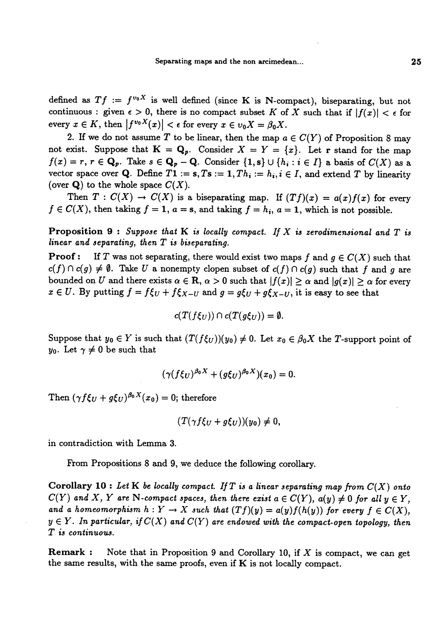defined as  $Tf := f^{v_0 X}$  is well defined (since K is N-compact), biseparating, but not continuous : given  $\epsilon > 0$ , there is no compact subset K of X such that if  $|f(x)| < \epsilon$  for every  $x \in K$ , then  $|f^{v_0 X}(x)| < \epsilon$  for every  $x \in v_0 X = \beta_0 X$ .

2. If we do not assume T to be linear, then the map  $a \in C(Y)$  of Proposition 8 may not exist. Suppose that  $K = Q_p$ . Consider  $X = Y = \{x\}$ . Let r stand for the map  $f(x) = r, r \in \mathbf{Q}_p$ . Take  $s \in \mathbf{Q}_p - \mathbf{Q}$ . Consider  $\{1, s\} \cup \{h_i : i \in I\}$  a basis of  $C(X)$  as a vector space over Q. Define  $T1 := s, Ts := 1, Th_i := h_i, i \in I$ , and extend T by linearity (over  $\mathbf{Q}$ ) to the whole space  $C(X)$ .

Then  $T: C(X) \to C(X)$  is a biseparating map. If  $(Tf)(x) = a(x)f(x)$  for every  $f \in C(X)$ , then taking  $f = 1$ ,  $a = s$ , and taking  $f = h_i$ ,  $a = 1$ , which is not possible.

Proposition 9: Suppose that K is locally compact. If X is zerodimensional and T is linear and separating, then T is biseparating.

**Proof:** If T was not separating, there would exist two maps f and  $g \in C(X)$  such that  $c(f) \cap c(g) \neq \emptyset$ . Take U a nonempty clopen subset of  $c(f) \cap c(g)$  such that f and g are bounded on U and there exists  $\alpha \in \mathbb{R}$ ,  $\alpha > 0$  such that  $|f(x)| \geq \alpha$  and  $|g(x)| \geq \alpha$  for every  $x \in U$ . By putting  $f = f \xi_U + f \xi_{X-U}$  and  $g = g \xi_U + g \xi_{X-U}$ , it is easy to see that

$$
c(T(f\xi_U))\cap c(T(g\xi_U))=\emptyset.
$$

Suppose that  $y_0 \in Y$  is such that  $(T(f \xi_U))(y_0) \neq 0$ . Let  $x_0 \in \beta_0 X$  the T-support point of  $y_0$ . Let  $\gamma \neq 0$  be such that

$$
(\gamma (f\xi_U)^{\beta_0 X} + (g\xi_U)^{\beta_0 X})(x_0) = 0.
$$

Then  $(\gamma f \xi_U + g \xi_U)^{\beta_0 X}(x_0) = 0$ ; therefore

$$
(T(\gamma f\xi_U+g\xi_U))(y_0)\neq 0,
$$

in contradiction with Lemma 3.

From Propositions 8 and 9, we deduce the following corollary.

Corollary 10 : Let K be locally compact. If T is a linear separating map from  $C(X)$  onto  $C(Y)$  and X, Y are N-compact spaces, then there exist  $a \in C(Y)$ ,  $a(y) \neq 0$  for all  $y \in Y$ . and a homeomorphism  $h: Y \to X$  such that  $(Tf)(y) = a(y)f(h(y))$  for every  $f \in C(X)$ ,  $y \in Y$ . In particular, if  $C(X)$  and  $C(Y)$  are endowed with the compact-open topology, then T is continuou3.

**Remark :** Note that in Proposition 9 and Corollary 10, if  $X$  is compact, we can get the same results, with the same proofs, even if K is not locally compact.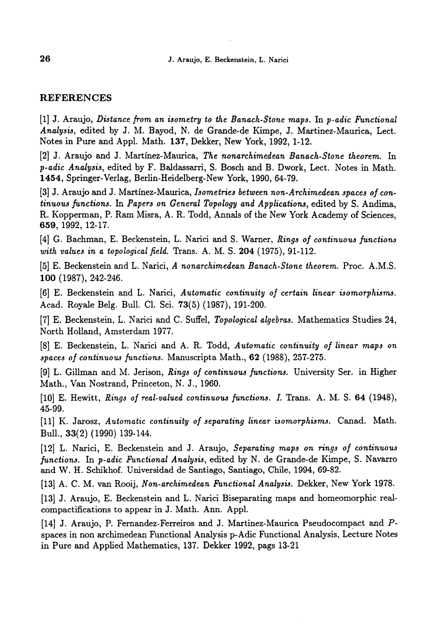#### REFERENCES

[1] J. Araujo, Distance from an isometry to the Banach-Stone maps. In p-adic Functional Analysis, edited by J. M. Bayod, N. de Grande-de Kimpe, J. Martinez-Maurica, Lect. Notes in Pure and Appl. Math. 137, Dekker, New York, 1992, 1-12.

[2] J. Araujo and J. Martínez-Maurica, The nonarchimedean Banach-Stone theorem. In p-adic Analysis, edited by F. Baldassarri, S. Bosch and B. Dwork, Lect. Notes in Math. 1454, Springer-Verlag, Berlin-Heidelberg-New York, 1990, 64-79.

[3] J. Araujo and J. Martínez-Maurica, Isometries between non-Archimedean spaces of continuous functions. In Papers on General Topology and Applications, edited by S. Andima, R. Kopperman, P. Ram Misra, A. R. Todd, Annals of the New York Academy of Sciences, 659, 1992, 12-17.

[4] G. Bachman, E. Beckenstein, L. Narici and S. Warner, Rings of continuous functions with values in a topological field. Trans. A. M. S. 204 (1975), 91-112.

[5] E. Beckenstein and L. Narici, A nonarchimedean Banach-Stone theorem. Proc. A.M.S. 100 (1987), 242-246.

[6] E. Beckenstein and L. Narici, Automatic continuity of certain linear isomorphisms. Acad. Royale Belg. Bull. Cl. Sci. 73(5) (1987), 191-200.

[7] E. Beckenstein, L. Narici and C. Suffel, Topological algebras. Mathematics Studies 24, North Holland, Amsterdam 1977.

[8] E. Beckenstein, L. Narici and A. R. Todd, Automatic continuity of linear maps on spaces of continuous functions. Manuscripta Math., 62 (1988), 257-275.

[9] L. Gillman and M. Jerison, Rings of continuous functions. University Ser. in Higher Math., Van Nostrand, Princeton, N. J., 1960.

[10] E. Hewitt, Rings of real-valued continuous functions. I. Trans. A. M. S. 64 (1948), 45-99.

[11] K. Jarosz, Automatic continuity of separating linear isomorphisms. Canad. Math. Bull., 33(2) (1990) 139-144.

[12] L. Narici, E. Beckenstein and J. Araujo, Separating maps on rings of continuous functions. In p-adic Functional Analysis, edited by N. de Grande-de Kimpe, S. Navarro and W. H. Schikhof. Universidad de Santiago, Santiago, Chile, 1994, 69-82.

[13] A. C. M. van Rooij, Non-archimedean Functional Analysis. Dekker, New York 1978.

[13] J. Araujo, E. Beckenstein and L. Narici Biseparating maps and homeomorphic realcompactifications to appear in J. Math. Ann. Appl.

[14] J. Araujo, P. Fernandez-Ferreiros and J. Martinez-Maurica Pseudocompact and Pspaces in non archimedean Functional Analysis p-Adic Functional Analysis, Lecture Notes in Pure and Applied Mathematics, 137. Dekker 1992, pags 13-21